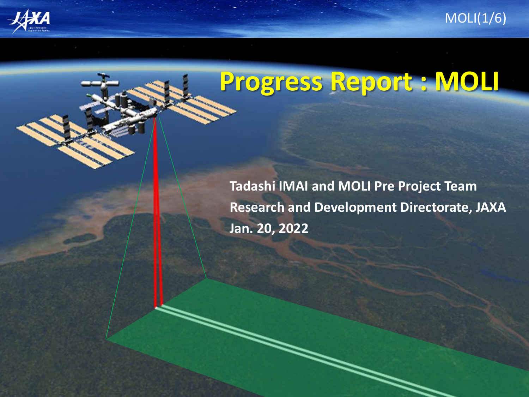



## **Progress Report : MOLI**

**Tadashi IMAI and MOLI Pre Project Team Research and Development Directorate, JAXA Jan. 20, 2022**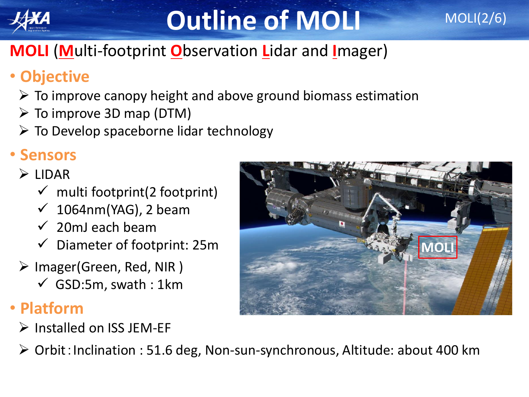

## **Outline of MOLI**

### **MOLI** (**M**ulti-footprint **O**bservation **L**idar and **I**mager)

### • **Objective**

- $\triangleright$  To improve canopy height and above ground biomass estimation
- $\triangleright$  To improve 3D map (DTM)
- $\triangleright$  To Develop spaceborne lidar technology

### • **Sensors**

#### ➢ LIDAR

- $\checkmark$  multi footprint(2 footprint)
- $\checkmark$  1064nm(YAG), 2 beam
- $\checkmark$  20mJ each beam
- $\checkmark$  Diameter of footprint: 25m
- ➢ Imager(Green, Red, NIR )
	- $\checkmark$  GSD:5m, swath : 1 km

### • **Platform**

➢ Installed on ISS JEM-EF



MOLI(2/6)

➢ Orbit:Inclination : 51.6 deg, Non-sun-synchronous, Altitude: about 400 km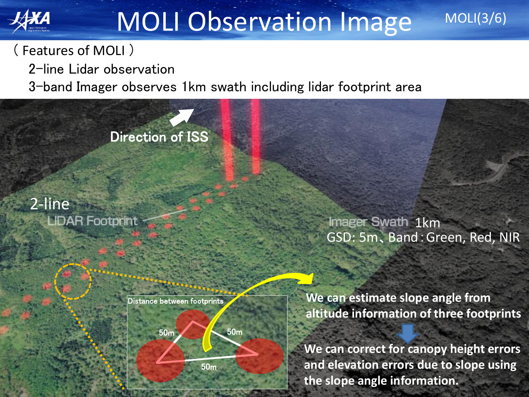

## MOLI Observation Image

#### ( Features of MOLI )

2-line Lidar observation

3-band Imager observes 1km swath including lidar footprint area

Direction of ISS

2-line **LIDAR Footprint** 

> Distance between footprints 50m 50m 50m

Imager Swath 1km GSD: 5m、Band:Green, Red, NIR

MOLI(3/6)

**We can estimate slope angle from altitude information of three footprints**

**We can correct for canopy height errors and elevation errors due to slope using the slope angle information.**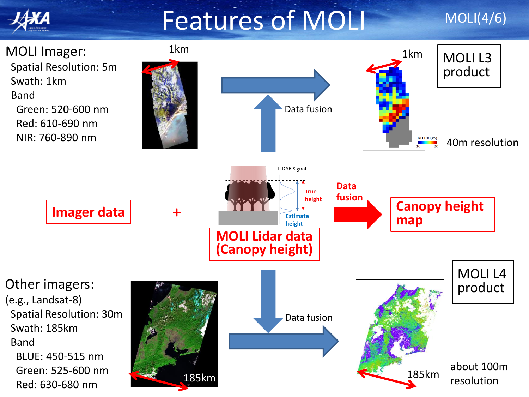### Features of MOLI

#### MOLI(4/6)

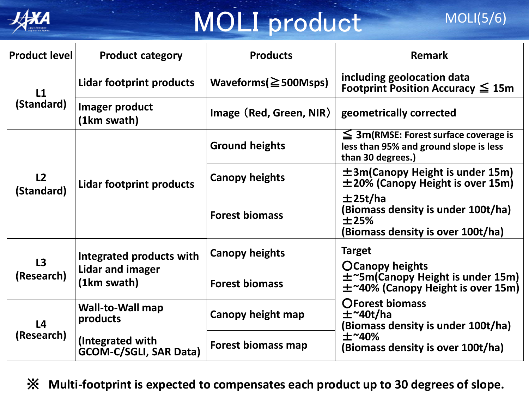

# MOLI product

| <b>Product level</b>         | <b>Product category</b>                                     | <b>Products</b>            | <b>Remark</b>                                                                                                                                                                                                                                                |
|------------------------------|-------------------------------------------------------------|----------------------------|--------------------------------------------------------------------------------------------------------------------------------------------------------------------------------------------------------------------------------------------------------------|
| L1<br>(Standard)             | Lidar footprint products                                    | Waveforms( $\geq$ 500Msps) | including geolocation data<br>Footprint Position Accuracy $\leq 15m$                                                                                                                                                                                         |
|                              | Imager product<br>(1km swath)                               | Image (Red, Green, NIR)    | geometrically corrected                                                                                                                                                                                                                                      |
| L2<br>(Standard)             | Lidar footprint products                                    | <b>Ground heights</b>      | $\leq$ 3m(RMSE: Forest surface coverage is<br>less than 95% and ground slope is less<br>than 30 degrees.)                                                                                                                                                    |
|                              |                                                             | <b>Canopy heights</b>      | $\pm$ 3m(Canopy Height is under 15m)<br>$\pm$ 20% (Canopy Height is over 15m)                                                                                                                                                                                |
|                              |                                                             | <b>Forest biomass</b>      | ±25t/ha<br>(Biomass density is under 100t/ha)<br>±25%<br>(Biomass density is over 100t/ha)                                                                                                                                                                   |
| L3<br>(Research)             | Integrated products with<br>Lidar and imager<br>(1km swath) | <b>Canopy heights</b>      | <b>Target</b><br><b>OCanopy heights</b><br>$\pm$ ~5m(Canopy Height is under 15m)<br>$\pm$ ~40% (Canopy Height is over 15m)<br><b>OForest biomass</b><br>$\pm$ ~40t/ha<br>(Biomass density is under 100t/ha)<br>$±$ ~40%<br>(Biomass density is over 100t/ha) |
|                              |                                                             | <b>Forest biomass</b>      |                                                                                                                                                                                                                                                              |
| L <sub>4</sub><br>(Research) | <b>Wall-to-Wall map</b><br>products                         | Canopy height map          |                                                                                                                                                                                                                                                              |
|                              | (Integrated with<br><b>GCOM-C/SGLI, SAR Data)</b>           | Forest biomass map         |                                                                                                                                                                                                                                                              |

※ **Multi-footprint is expected to compensates each product up to 30 degrees of slope.**